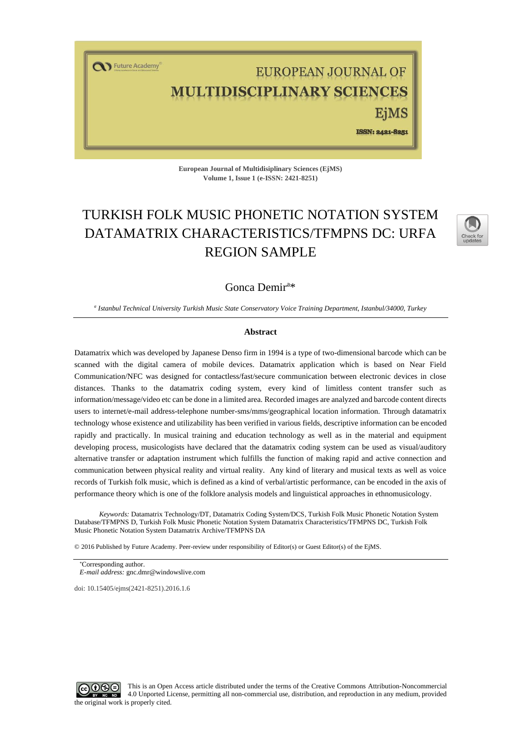T Future Academy

# EUROPEAN JOURNAL OF **LTIDISCIPLINARY SCIENCES**

ISSN: 2421-8251

**European Journal of Multidisiplinary Sciences (EjMS) Volume 1, Issue 1 (e-ISSN: 2421-8251)**

# TURKISH FOLK MUSIC PHONETIC NOTATION SYSTEM DATAMATRIX CHARACTERISTICS/TFMPNS DC: URFA REGION SAMPLE



# Gonca Demir<sup>a\*</sup>

*a Istanbul Technical University Turkish Music State Conservatory Voice Training Department, Istanbul/34000, Turkey*

#### **Abstract**

Datamatrix which was developed by Japanese Denso firm in 1994 is a type of two-dimensional barcode which can be scanned with the digital camera of mobile devices. Datamatrix application which is based on Near Field Communication/NFC was designed for contactless/fast/secure communication between electronic devices in close distances. Thanks to the datamatrix coding system, every kind of limitless content transfer such as information/message/video etc can be done in a limited area. Recorded images are analyzed and barcode content directs users to internet/e-mail address-telephone number-sms/mms/geographical location information. Through datamatrix technology whose existence and utilizability has been verified in various fields, descriptive information can be encoded rapidly and practically. In musical training and education technology as well as in the material and equipment developing process, musicologists have declared that the datamatrix coding system can be used as visual/auditory alternative transfer or adaptation instrument which fulfills the function of making rapid and active connection and communication between physical reality and virtual reality. Any kind of literary and musical texts as well as voice records of Turkish folk music, which is defined as a kind of verbal/artistic performance, can be encoded in the axis of performance theory which is one of the folklore analysis models and linguistical approaches in ethnomusicology.

*Keywords:* Datamatrix Technology/DT, Datamatrix Coding System/DCS, Turkish Folk Music Phonetic Notation System Database/TFMPNS D, Turkish Folk Music Phonetic Notation System Datamatrix Characteristics/TFMPNS DC, Turkish Folk Music Phonetic Notation System Datamatrix Archive/TFMPNS DA

© 2016 Published by Future Academy. Peer-review under responsibility of Editor(s) or Guest Editor(s) of the EjMS.

doi[: 10.15405/ejms\(2421-8251\).2016.1.6](https://doi.org/10.15405/ejms(2421-8251).2016.1.6)



Corresponding author. *E-mail address:* [gnc.dmr@windowslive.com](mailto:gnc.dmr@windowslive.com)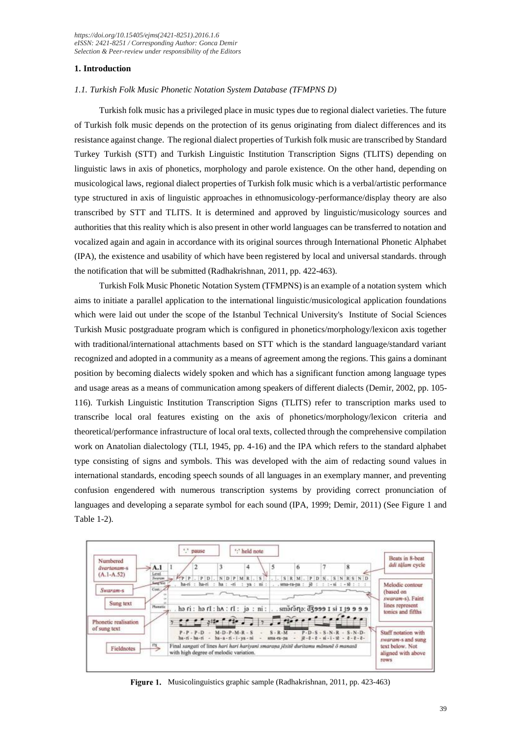*[https://doi.org/1](https://doi.org/)0.15405/ejms(2421-8251).2016.1.6 eISSN: 2421-8251 / Corresponding Author: Gonca Demir Selection & Peer-review under responsibility of the Editors*

# **1. Introduction**

### *1.1. Turkish Folk Music Phonetic Notation System Database (TFMPNS D)*

Turkish folk music has a privileged place in music types due to regional dialect varieties. The future of Turkish folk music depends on the protection of its genus originating from dialect differences and its resistance against change. The regional dialect properties of Turkish folk music are transcribed by Standard Turkey Turkish (STT) and Turkish Linguistic Institution Transcription Signs (TLITS) depending on linguistic laws in axis of phonetics, morphology and parole existence. On the other hand, depending on musicological laws, regional dialect properties of Turkish folk music which is a verbal/artistic performance type structured in axis of linguistic approaches in ethnomusicology-performance/display theory are also transcribed by STT and TLITS. It is determined and approved by linguistic/musicology sources and authorities that this reality which is also present in other world languages can be transferred to notation and vocalized again and again in accordance with its original sources through International Phonetic Alphabet (IPA), the existence and usability of which have been registered by local and universal standards. through the notification that will be submitted (Radhakrishnan, 2011, pp. 422-463).

Turkish Folk Music Phonetic Notation System (TFMPNS) is an example of a notation system which aims to initiate a parallel application to the international linguistic/musicological application foundations which were laid out under the scope of the Istanbul Technical University's Institute of Social Sciences Turkish Music postgraduate program which is configured in phonetics/morphology/lexicon axis together with traditional/international attachments based on STT which is the standard language/standard variant recognized and adopted in a community as a means of agreement among the regions. This gains a dominant position by becoming dialects widely spoken and which has a significant function among language types and usage areas as a means of communication among speakers of different dialects (Demir, 2002, pp. 105- 116). Turkish Linguistic Institution Transcription Signs (TLITS) refer to transcription marks used to transcribe local oral features existing on the axis of phonetics/morphology/lexicon criteria and theoretical/performance infrastructure of local oral texts, collected through the comprehensive compilation work on Anatolian dialectology (TLI, 1945, pp. 4-16) and the IPA which refers to the standard alphabet type consisting of signs and symbols. This was developed with the aim of redacting sound values in international standards, encoding speech sounds of all languages in an exemplary manner, and preventing confusion engendered with numerous transcription systems by providing correct pronunciation of languages and developing a separate symbol for each sound (IPA, 1999; Demir, 2011) (See Figure 1 and Table 1-2).



Figure 1. Musicolinguistics graphic sample (Radhakrishnan, 2011, pp. 423-463)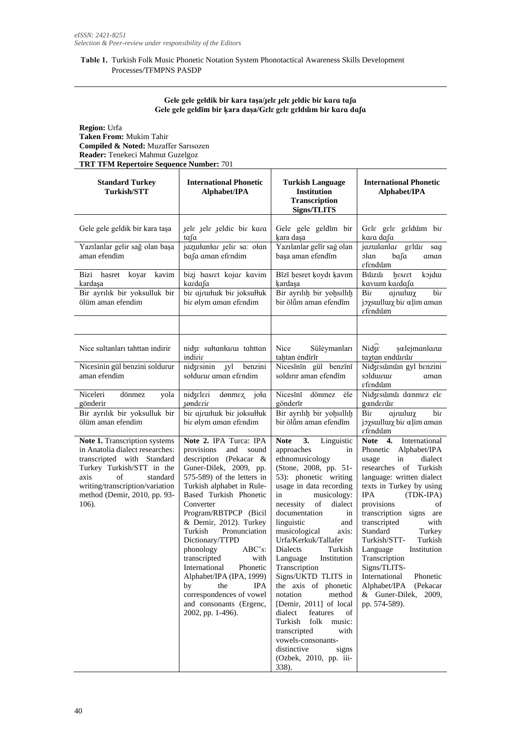# **Table 1.** Turkish Folk Music Phonetic Notation System Phonotactical Awareness Skills Development Processes/TFMPNS PASDP

# **Gele gele geldik bir kara taşa/ɟelɛ ɟelɛ ɟeldic biɾ kɑɾɑ tɑʃɑ Gele gele geldĭm bir ḳara daşa/Gɛlɛ gɛlɛ gɛldɯ̌m biɾ kɑɾɑ dɑʃɑ**

**Region:** Urfa **Taken From:** Mukim Tahir **Compiled & Noted:** Muzaffer Sarısozen **Reader:** Tenekeci Mahmut Guzelgoz **TRT TFM Repertoire Sequence Number:** 701

| <b>Standard Turkey</b><br><b>Turkish/STT</b>                                                                                                                                                                                      | <b>International Phonetic</b><br>Alphabet/IPA                                                                                                                                                                                                                                                                                                                                                                                                                                                                               | <b>Turkish Language</b><br><b>Institution</b><br><b>Transcription</b><br><b>Signs/TLITS</b>                                                                                                                                                                                                                                                                                                                                                                                                                                                                                                                            | <b>International Phonetic</b><br>Alphabet/IPA                                                                                                                                                                                                                                                                                                                                                                                                                               |
|-----------------------------------------------------------------------------------------------------------------------------------------------------------------------------------------------------------------------------------|-----------------------------------------------------------------------------------------------------------------------------------------------------------------------------------------------------------------------------------------------------------------------------------------------------------------------------------------------------------------------------------------------------------------------------------------------------------------------------------------------------------------------------|------------------------------------------------------------------------------------------------------------------------------------------------------------------------------------------------------------------------------------------------------------------------------------------------------------------------------------------------------------------------------------------------------------------------------------------------------------------------------------------------------------------------------------------------------------------------------------------------------------------------|-----------------------------------------------------------------------------------------------------------------------------------------------------------------------------------------------------------------------------------------------------------------------------------------------------------------------------------------------------------------------------------------------------------------------------------------------------------------------------|
| Gele gele geldik bir kara taşa<br>Yazılanlar gelir sağ olan başa                                                                                                                                                                  | jele jele jeldic bir kara<br>ta∫a<br>jazunlanlar yelir sa: olan                                                                                                                                                                                                                                                                                                                                                                                                                                                             | Gele gele geldĭm bir<br>kara daşa<br>Yazılanlar gelĭr saġ olan                                                                                                                                                                                                                                                                                                                                                                                                                                                                                                                                                         | Gele gele geldun bir<br>kara dafa<br>jazuılanlar gelür sag                                                                                                                                                                                                                                                                                                                                                                                                                  |
| aman efendim                                                                                                                                                                                                                      | bafa aman efendim                                                                                                                                                                                                                                                                                                                                                                                                                                                                                                           | başa aman efendim                                                                                                                                                                                                                                                                                                                                                                                                                                                                                                                                                                                                      | olan<br>bafa<br>aman<br>εfεndǔm                                                                                                                                                                                                                                                                                                                                                                                                                                             |
| Bizi hasret koyar kavim<br>kardaşa                                                                                                                                                                                                | bizi hasret kojar kavim<br>kardafa                                                                                                                                                                                                                                                                                                                                                                                                                                                                                          | Bĭzĭ hesret koydı kavım<br>kardaşa                                                                                                                                                                                                                                                                                                                                                                                                                                                                                                                                                                                     | Bǔzzǔ<br>hesret<br>kojdur<br>kavum kardafa                                                                                                                                                                                                                                                                                                                                                                                                                                  |
| Bir ayrılık bir yoksulluk bir<br>ölüm aman efendim                                                                                                                                                                                | bir ajrumuk bir joksumuk<br>bir ølym aman efendim                                                                                                                                                                                                                                                                                                                                                                                                                                                                           | Bir ayrılıh bir yohsıllıh<br>bir ölüm aman efendim                                                                                                                                                                                                                                                                                                                                                                                                                                                                                                                                                                     | Bir<br>ajrulurχ<br>bir<br>joysulluy bir alim aman<br>εfεndǔm                                                                                                                                                                                                                                                                                                                                                                                                                |
|                                                                                                                                                                                                                                   |                                                                                                                                                                                                                                                                                                                                                                                                                                                                                                                             |                                                                                                                                                                                                                                                                                                                                                                                                                                                                                                                                                                                                                        |                                                                                                                                                                                                                                                                                                                                                                                                                                                                             |
| Nice sultanları tahttan indirir                                                                                                                                                                                                   | nidze sułtanłarw tahttan<br>indirir                                                                                                                                                                                                                                                                                                                                                                                                                                                                                         | Nice<br>Süleymanları<br>tahtan endirir                                                                                                                                                                                                                                                                                                                                                                                                                                                                                                                                                                                 | $Nig\epsilon$<br>şælejmanlarur<br>taxtan endürür                                                                                                                                                                                                                                                                                                                                                                                                                            |
| Nicesinin gül benzini soldurur<br>aman efendim                                                                                                                                                                                    | nidzesinin yyl benzini<br>soldurur aman efendim                                                                                                                                                                                                                                                                                                                                                                                                                                                                             | Nicesinin gül benzini<br>soldırır aman efendim                                                                                                                                                                                                                                                                                                                                                                                                                                                                                                                                                                         | Nidzesunun gyl benzini<br>soldurur<br>aman<br><i>efend</i> um                                                                                                                                                                                                                                                                                                                                                                                                               |
| Niceleri<br>dönmez<br>yola<br>gönderir                                                                                                                                                                                            | nidzeleri<br>dønmez joła<br>ignderir                                                                                                                                                                                                                                                                                                                                                                                                                                                                                        | dönmez<br>Nicesini<br>ėle<br>gönderir                                                                                                                                                                                                                                                                                                                                                                                                                                                                                                                                                                                  | Nidzesunuu donmez ele<br>gænderur                                                                                                                                                                                                                                                                                                                                                                                                                                           |
| Bir ayrılık bir yoksulluk bir<br>ölüm aman efendim                                                                                                                                                                                | bir ajrumluk bir joksumluk<br>bir ølym aman efendim                                                                                                                                                                                                                                                                                                                                                                                                                                                                         | Bir ayrılıh bir yohsıllıh<br>bir ölüm aman efendim                                                                                                                                                                                                                                                                                                                                                                                                                                                                                                                                                                     | Bir<br>ajruluιγ<br>bir<br>joxsulluix bir alim aman<br>εfεndǔm                                                                                                                                                                                                                                                                                                                                                                                                               |
| Note 1. Transcription systems<br>in Anatolia dialect researches:<br>transcripted with Standard<br>Turkey Turkish/STT in the<br>of<br>axis<br>standard<br>writing/transcription/variation<br>method (Demir, 2010, pp. 93-<br>106). | Note 2. IPA Turca: IPA<br>provisions<br>and<br>sound<br>description (Pekacar &<br>Guner-Dilek, 2009, pp.<br>575-589) of the letters in<br>Turkish alphabet in Rule-<br>Based Turkish Phonetic<br>Converter<br>Program/RBTPCP (Bicil<br>& Demir, 2012). Turkey<br>Turkish<br>Pronunciation<br>Dictionary/TTPD<br>phonology<br>ABC's:<br>transcripted<br>with<br>Phonetic<br>International<br>Alphabet/IPA (IPA, 1999)<br>by<br>the<br><b>IPA</b><br>correspondences of vowel<br>and consonants (Ergenc,<br>2002, pp. 1-496). | Note 3. Linguistic<br>approaches<br>in<br>ethnomusicology<br>(Stone, 2008, pp. 51-<br>53): phonetic writing<br>usage in data recording<br>musicology:<br>in<br>necessity of<br>dialect<br>documentation<br>in<br>linguistic<br>and<br>musicological<br>axis:<br>Urfa/Kerkuk/Tallafer<br>Dialects<br>Turkish<br>Language Institution<br>Transcription<br>Signs/UKTD TLITS in<br>the axis of phonetic<br>notation<br>method<br>[Demir, 2011] of local<br>dialect<br>features<br>of<br>folk<br>Turkish<br>music:<br>transcripted<br>with<br>vowels-consonants-<br>distinctive<br>signs<br>(Ozbek, 2010, pp. iii-<br>338). | Note 4. International<br>Phonetic Alphabet/IPA<br>dialect<br>usage<br>in<br>researches of Turkish<br>language: written dialect<br>texts in Turkey by using<br><b>IPA</b><br>(TDK-IPA)<br>provisions<br>of<br>transcription signs are<br>transcripted<br>with<br>Standard<br>Turkey<br>Turkish/STT-<br>Turkish<br>Language<br>Institution<br>Transcription<br>Signs/TLITS-<br>International<br>Phonetic<br>Alphabet/IPA<br>(Pekacar<br>& Guner-Dilek, 2009,<br>pp. 574-589). |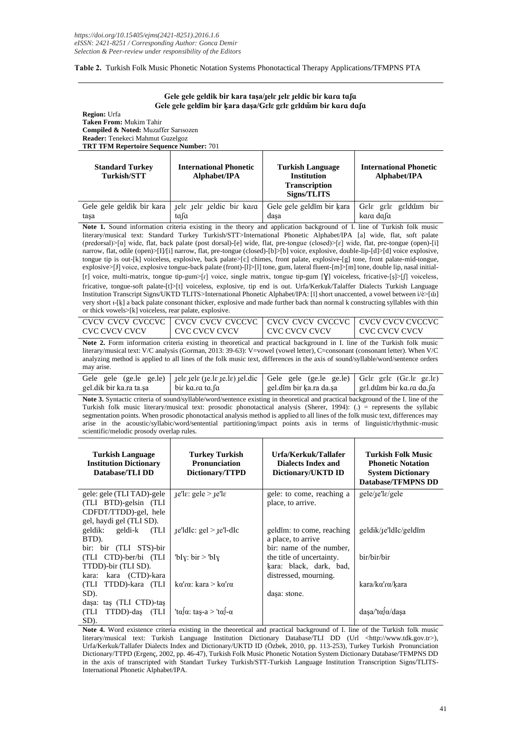### **Table 2.** Turkish Folk Music Phonetic Notation Systems Phonotactical Therapy Applications/TFMPNS PTA

#### **Gele gele geldik bir kara taşa/ɟelɛ ɟelɛ ɟeldic biɾ kɑɾɑ tɑʃɑ Gele gele geldĭm bir ḳara daşa/Gɛlɛ gɛlɛ gɛldɯ̌m biɾ kɑɾɑ dɑʃɑ**

#### **Region:** Urfa **Taken From:** Mukim Tahir **Compiled & Noted:** Muzaffer Sarısozen **Reader:** Tenekeci Mahmut Guzelgoz **TRT TFM Repertoire Sequence Number:** 701

| <b>Standard Turkey</b><br><b>Turkish/STT</b> | <b>International Phonetic</b><br>Alphabet/IPA         | <b>Turkish Language</b><br><b>Institution</b><br><b>Transcription</b><br>Signs/TLITS | <b>International Phonetic</b><br>Alphabet/IPA |  |
|----------------------------------------------|-------------------------------------------------------|--------------------------------------------------------------------------------------|-----------------------------------------------|--|
|                                              | Gele gele geldik bir kara   jele jele jeldic bir kara | Gele gele geldim bir kara                                                            | Gele gele geldun bir                          |  |
| tasa                                         | ta∫a                                                  | dasa                                                                                 | kara dafa                                     |  |

Note 1. Sound information criteria existing in the theory and application background of I. line of Turkish folk music literary/musical text: Standard Turkey Turkish/STT>International Phonetic Alphabet/IPA [a] wide, flat, soft palate (predorsal)>[α] wide, flat, back palate (post dorsal)-[e] wide, flat, pre-tongue (closed)>[ɛ] wide, flat, pre-tongue (open)-[i] narrow, flat, odile (open)>[I]/[i] narrow, flat, pre-tongue (closed)-[b]>[b] voice, explosive, double-lip-[d]>[d] voice explosive, tongue tip is out-[k] voiceless, explosive, back palate>[c] chimes, front palate, explosive-[g] tone, front palate-mid-tongue, explosive>[J] voice, explosive tongue-back palate (front)-[l]>[l] tone, gum, lateral fluent-[m]>[m] tone, double lip, nasal initial-[r] voice, multi-matrix, tongue tip-gum>[ $r$ ] voice, single matrix, tongue tip-gum [ $\chi$ ] voiceless, fricative-[ş]>[f] voiceless, fricative, tongue-soft palate-[t]>[t] voiceless, explosive, tip end is out. Urfa/Kerkuk/Talaffer Dialects Turkish Language Institution Transcript Signs/UKTD TLITS>International Phonetic Alphabet/IPA: [ĭ] short unaccented, a vowel between i/ė>[ɯ̌] very short ı-[ḳ] a back palate consonant thicker, explosive and made further back than normal k constructing syllables with thin or thick vowels>[k] voiceless, rear palate, explosive.

| CVC CVCV CVCV | CVC CVCV CVCV | LCVC CVCV CVCV | LCVC CVCV CVCV |
|---------------|---------------|----------------|----------------|

**Note 2.** Form information criteria existing in theoretical and practical background in I. line of the Turkish folk music literary/musical text: V/C analysis (Gorman, 2013: 39-63): V=vowel (vowel letter), C=consonant (consonant letter). When V/C analyzing method is applied to all lines of the folk music text, differences in the axis of sound/syllable/word/sentence orders may arise.

|                         | Gele gele (ge.le ge.le)   jele jele (je.le je.le) jel.dic   Gele gele (ge.le ge.le)   Gele gele (Ge.le ge.le) |                         |                           |
|-------------------------|---------------------------------------------------------------------------------------------------------------|-------------------------|---------------------------|
| eel.dik bir ka.ra ta.sa | bir ka.ra ta.fa                                                                                               | eel.dĭm bir ka.ra da.sa | ∣ gɛl.dŭm bir ka.ra da.∫a |

Note 3. Syntactic criteria of sound/syllable/word/sentence existing in theoretical and practical background of the I. line of the Turkish folk music literary/musical text: prosodic phonotactical analysis (Sherer, 1994): (.) = represents the syllabic segmentation points. When prosodic phonotactical analysis method is applied to all lines of the folk music text, differences may arise in the acoustic/syllabic/word/sentential partitioning/impact points axis in terms of linguistic/rhythmic-music scientific/melodic prosody overlap rules.

| <b>Turkish Language</b><br><b>Institution Dictionary</b><br>Database/TLI DD | <b>Turkey Turkish</b><br><b>Pronunciation</b><br>Dictionary/TTPD | Urfa/Kerkuk/Tallafer<br>Dialects Index and<br>Dictionary/UKTD ID | <b>Turkish Folk Music</b><br><b>Phonetic Notation</b><br><b>System Dictionary</b><br><b>Database/TFMPNS DD</b> |
|-----------------------------------------------------------------------------|------------------------------------------------------------------|------------------------------------------------------------------|----------------------------------------------------------------------------------------------------------------|
| gele: gele (TLI TAD)-gele                                                   | $\text{rel}$ : gele > $\text{rel}$                               | gele: to come, reaching a                                        | gele/1e'le/gele                                                                                                |
| (TLI BTD)-gelsin (TLI<br>CDFDT/TTDD)-gel, hele                              |                                                                  | place, to arrive.                                                |                                                                                                                |
| gel, haydi gel (TLI SD).                                                    |                                                                  |                                                                  |                                                                                                                |
| geldik: geldi-k (TLI                                                        | $_{\text{ref}}$ ldIc: gel > $_{\text{ref}}$ l-dIc                | geldim: to come, reaching                                        | geldik/ <sub>I</sub> e'ldIc/geldim                                                                             |
| BTD).                                                                       |                                                                  | a place, to arrive                                               |                                                                                                                |
| bir: bir (TLI STS)-bir                                                      |                                                                  | bir: name of the number,                                         |                                                                                                                |
| (TLI CTD)-ber/bi (TLI                                                       | bly: bir > bly'                                                  | the title of uncertainty.                                        | bir/bir/bir                                                                                                    |
| TTDD)-bir (TLI SD).                                                         |                                                                  | kara: black, dark, bad,                                          |                                                                                                                |
| kara (CTD)-kara<br>kara:                                                    |                                                                  | distressed, mourning.                                            |                                                                                                                |
| (TLI)<br>TTDD)-kara (TLI                                                    | $k\alpha'$ r $\alpha$ : kara > k $\alpha'$ r $\alpha$            |                                                                  | kara/kα'rα/kara                                                                                                |
| SD).                                                                        |                                                                  | dașa: stone.                                                     |                                                                                                                |
| dasa: tas (TLI CTD)-tas                                                     |                                                                  |                                                                  |                                                                                                                |
| (TLI<br>TTDD)-das (TLI                                                      | 'tala: taş-a > 'tal-a                                            |                                                                  | dasa/ta/a/dasa                                                                                                 |
| SD).                                                                        |                                                                  |                                                                  |                                                                                                                |

**Note 4.** Word existence criteria existing in the theoretical and practical background of I. line of the Turkish folk music literary/musical text: Turkish Language Institution Dictionary Database/TLI DD (Url <http://www.tdk.gov.tr>), Urfa/Kerkuk/Tallafer Dialects Index and Dictionary/UKTD ID (Özbek, 2010, pp. 113-253), Turkey Turkish Pronunciation Dictionary/TTPD (Ergenç, 2002, pp. 46-47), Turkish Folk Music Phonetic Notation System Dictionary Database/TFMPNS DD in the axis of transcripted with Standart Turkey Turkish/STT-Turkish Language Institution Transcription Signs/TLITS-International Phonetic Alphabet/IPA.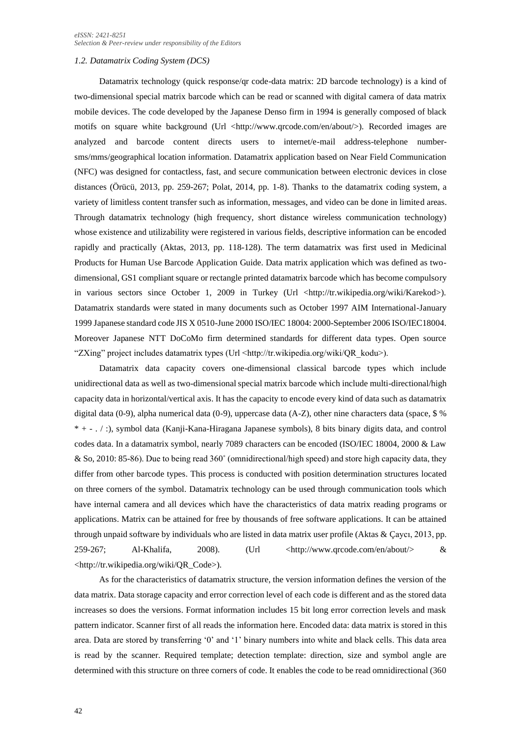#### *1.2. Datamatrix Coding System (DCS)*

Datamatrix technology (quick response/qr code-data matrix: 2D barcode technology) is a kind of two-dimensional special matrix barcode which can be read or scanned with digital camera of data matrix mobile devices. The code developed by the Japanese Denso firm in 1994 is generally composed of black motifs on square white background (Url <http://www.qrcode.com/en/about/>). Recorded images are analyzed and barcode content directs users to internet/e-mail address-telephone numbersms/mms/geographical location information. Datamatrix application based on Near Field Communication (NFC) was designed for contactless, fast, and secure communication between electronic devices in close distances (Örücü, 2013, pp. 259-267; Polat, 2014, pp. 1-8). Thanks to the datamatrix coding system, a variety of limitless content transfer such as information, messages, and video can be done in limited areas. Through datamatrix technology (high frequency, short distance wireless communication technology) whose existence and utilizability were registered in various fields, descriptive information can be encoded rapidly and practically (Aktas, 2013, pp. 118-128). The term datamatrix was first used in Medicinal Products for Human Use Barcode Application Guide. Data matrix application which was defined as twodimensional, GS1 compliant square or rectangle printed datamatrix barcode which has become compulsory in various sectors since October 1, 2009 in Turkey (Url <http://tr.wikipedia.org/wiki/Karekod>). Datamatrix standards were stated in many documents such as October 1997 AIM International-January 1999 Japanese standard code JIS X 0510-June 2000 ISO/IEC 18004: 2000-September 2006 ISO/IEC18004. Moreover Japanese NTT DoCoMo firm determined standards for different data types. Open source "ZXing" project includes datamatrix types (Url <http://tr.wikipedia.org/wiki/QR\_kodu>).

Datamatrix data capacity covers one-dimensional classical barcode types which include unidirectional data as well as two-dimensional special matrix barcode which include multi-directional/high capacity data in horizontal/vertical axis. It has the capacity to encode every kind of data such as datamatrix digital data (0-9), alpha numerical data (0-9), uppercase data (A-Z), other nine characters data (space, \$ % \* + - . / :), symbol data (Kanji-Kana-Hiragana Japanese symbols), 8 bits binary digits data, and control codes data. In a datamatrix symbol, nearly 7089 characters can be encoded (ISO/IEC 18004, 2000 & Law & So, 2010: 85-86). Due to being read 360˚ (omnidirectional/high speed) and store high capacity data, they differ from other barcode types. This process is conducted with position determination structures located on three corners of the symbol. Datamatrix technology can be used through communication tools which have internal camera and all devices which have the characteristics of data matrix reading programs or applications. Matrix can be attained for free by thousands of free software applications. It can be attained through unpaid software by individuals who are listed in data matrix user profile (Aktas & Çaycı, 2013, pp.  $259-267$ ; Al-Khalifa,  $2008$ . (Url  $\langle \text{http://www.qroode.com/en/about/}> 8 \rangle$ <http://tr.wikipedia.org/wiki/QR\_Code>).

As for the characteristics of datamatrix structure, the version information defines the version of the data matrix. Data storage capacity and error correction level of each code is different and as the stored data increases so does the versions. Format information includes 15 bit long error correction levels and mask pattern indicator. Scanner first of all reads the information here. Encoded data: data matrix is stored in this area. Data are stored by transferring '0' and '1' binary numbers into white and black cells. This data area is read by the scanner. Required template; detection template: direction, size and symbol angle are determined with this structure on three corners of code. It enables the code to be read omnidirectional (360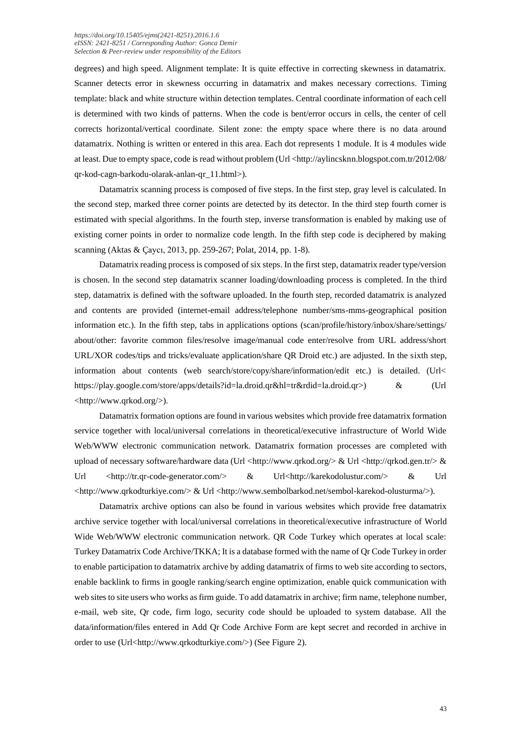#### *[https://doi.org/1](https://doi.org/)0.15405/ejms(2421-8251).2016.1.6 eISSN: 2421-8251 / Corresponding Author: Gonca Demir Selection & Peer-review under responsibility of the Editors*

degrees) and high speed. Alignment template: It is quite effective in correcting skewness in datamatrix. Scanner detects error in skewness occurring in datamatrix and makes necessary corrections. Timing template: black and white structure within detection templates. Central coordinate information of each cell is determined with two kinds of patterns. When the code is bent/error occurs in cells, the center of cell corrects horizontal/vertical coordinate. Silent zone: the empty space where there is no data around datamatrix. Nothing is written or entered in this area. Each dot represents 1 module. It is 4 modules wide at least. Due to empty space, code is read without problem (Url <http://aylincsknn.blogspot.com.tr/2012/08/ qr-kod-cagn-barkodu-olarak-anlan-qr\_11.html>).

Datamatrix scanning process is composed of five steps. In the first step, gray level is calculated. In the second step, marked three corner points are detected by its detector. In the third step fourth corner is estimated with special algorithms. In the fourth step, inverse transformation is enabled by making use of existing corner points in order to normalize code length. In the fifth step code is deciphered by making scanning (Aktas & Çaycı, 2013, pp. 259-267; Polat, 2014, pp. 1-8).

Datamatrix reading process is composed of six steps. In the first step, datamatrix reader type/version is chosen. In the second step datamatrix scanner loading/downloading process is completed. In the third step, datamatrix is defined with the software uploaded. In the fourth step, recorded datamatrix is analyzed and contents are provided (internet-email address/telephone number/sms-mms-geographical position information etc.). In the fifth step, tabs in applications options (scan/profile/history/inbox/share/settings/ about/other: favorite common files/resolve image/manual code enter/resolve from URL address/short URL/XOR codes/tips and tricks/evaluate application/share QR Droid etc.) are adjusted. In the sixth step, information about contents (web search/store/copy/share/information/edit etc.) is detailed. (Url< https://play.google.com/store/apps/details?id=la.droid.qr&hl=tr&rdid=la.droid.qr>) & (Url <http://www.qrkod.org/>).

Datamatrix formation options are found in various websites which provide free datamatrix formation service together with local/universal correlations in theoretical/executive infrastructure of World Wide Web/WWW electronic communication network. Datamatrix formation processes are completed with upload of necessary software/hardware data (Url [<http://www.qrkod.org/>](http://www.qrkod.org/) & Url [<http://qrkod.gen.tr/>](http://qrkod.gen.tr/) & Url [<http://tr.qr-code-generator.com/>](http://tr.qr-code-generator.com/) & Url[<http://karekodolustur.com/>](http://karekodolustur.com/) & Url [<http://www.qrkodturkiye.com/>](http://www.qrkodturkiye.com/) & Url [<http://www.sembolbarkod.net/sembol-karekod-olusturma/>](http://www.sembolbarkod.net/sembol-karekod-olusturma/)).

Datamatrix archive options can also be found in various websites which provide free datamatrix archive service together with local/universal correlations in theoretical/executive infrastructure of World Wide Web/WWW electronic communication network. QR Code Turkey which operates at local scale: Turkey Datamatrix Code Archive/TKKA; It is a database formed with the name of Qr Code Turkey in order to enable participation to datamatrix archive by adding datamatrix of firms to web site according to sectors, enable backlink to firms in google ranking/search engine optimization, enable quick communication with web sites to site users who works as firm guide. To add datamatrix in archive; firm name, telephone number, e-mail, web site, Qr code, firm logo, security code should be uploaded to system database. All the data/information/files entered in Add Qr Code Archive Form are kept secret and recorded in archive in order to use (Url<http://www.qrkodturkiye.com/>) (See Figure 2).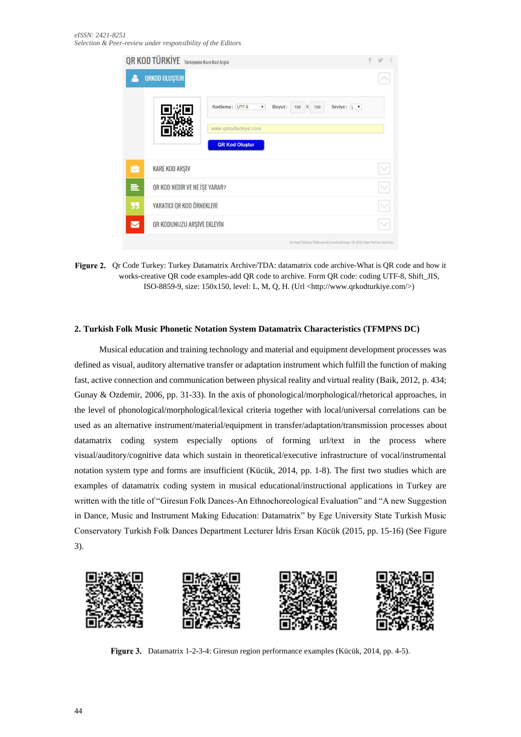| <b>QR KOD TÜRKİYE</b> Türkiyenin Kare Kod Arşivi |                               |                                                                            |  | g |
|--------------------------------------------------|-------------------------------|----------------------------------------------------------------------------|--|---|
|                                                  | <b>QRKOD OLUŞTUR</b>          |                                                                            |  |   |
|                                                  |                               | Kodlama: UTF-8<br>Seviye: L v<br>Boyut:<br>150 X 150<br>$\pmb{\mathrm{v}}$ |  |   |
|                                                  |                               | www.grkodturkiye.com                                                       |  |   |
|                                                  |                               | <b>QR Kod Oluştur</b>                                                      |  |   |
| 嘸                                                | <b>KARE KOD ARŞİV</b>         |                                                                            |  |   |
|                                                  | QR KOD NEDİR VE NE İŞE YARAR? |                                                                            |  |   |
| 99                                               | YARATICI QR KOD ÖRNEKLERİ     |                                                                            |  |   |
|                                                  | QR KODUNUZU ARSİVE EKLEYİN    |                                                                            |  |   |
|                                                  |                               | Qr Kod Türkiye Türkiye'nin Karekod Arşivi © 2014 Tüm Hakları Saklıdır.     |  |   |

Figure 2. Qr Code Turkey: Turkey Datamatrix Archive/TDA: datamatrix code archive-What is QR code and how it works-creative QR code examples-add QR code to archive. Form QR code: coding UTF-8, Shift\_JIS, ISO-8859-9, size: 150x150, level: L, M, Q, H. (Url <http://www.qrkodturkiye.com/>)

# **2. Turkish Folk Music Phonetic Notation System Datamatrix Characteristics (TFMPNS DC)**

Musical education and training technology and material and equipment development processes was defined as visual, auditory alternative transfer or adaptation instrument which fulfill the function of making fast, active connection and communication between physical reality and virtual reality (Baik, 2012, p. 434; Gunay & Ozdemir, 2006, pp. 31-33). In the axis of phonological/morphological/rhetorical approaches, in the level of phonological/morphological/lexical criteria together with local/universal correlations can be used as an alternative instrument/material/equipment in transfer/adaptation/transmission processes about datamatrix coding system especially options of forming url/text in the process where visual/auditory/cognitive data which sustain in theoretical/executive infrastructure of vocal/instrumental notation system type and forms are insufficient (Kücük, 2014, pp. 1-8). The first two studies which are examples of datamatrix coding system in musical educational/instructional applications in Turkey are written with the title of "Giresun Folk Dances-An Ethnochoreological Evaluation" and "A new Suggestion in Dance, Music and Instrument Making Education: Datamatrix" by Ege University State Turkish Music Conservatory Turkish Folk Dances Department Lecturer İdris Ersan Kücük (2015, pp. 15-16) (See Figure 3).



Figure 3. Datamatrix 1-2-3-4: Giresun region performance examples (Kücük, 2014, pp. 4-5).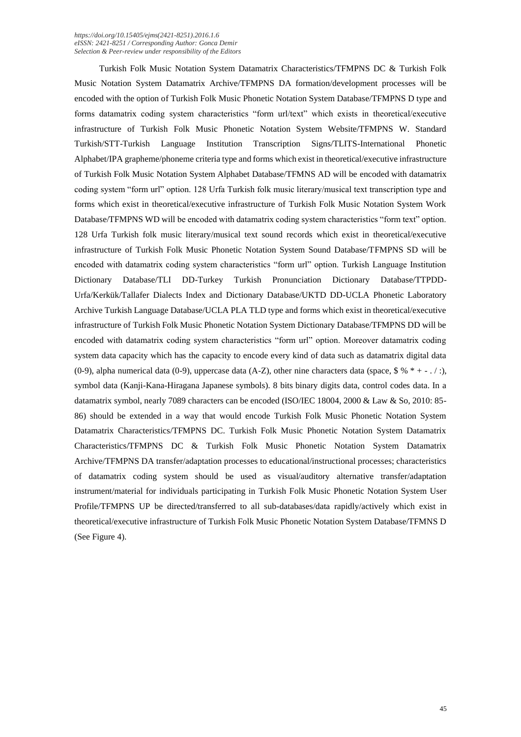#### *[https://doi.org/1](https://doi.org/)0.15405/ejms(2421-8251).2016.1.6 eISSN: 2421-8251 / Corresponding Author: Gonca Demir Selection & Peer-review under responsibility of the Editors*

Turkish Folk Music Notation System Datamatrix Characteristics/TFMPNS DC & Turkish Folk Music Notation System Datamatrix Archive/TFMPNS DA formation/development processes will be encoded with the option of Turkish Folk Music Phonetic Notation System Database/TFMPNS D type and forms datamatrix coding system characteristics "form url/text" which exists in theoretical/executive infrastructure of Turkish Folk Music Phonetic Notation System Website/TFMPNS W. Standard Turkish/STT-Turkish Language Institution Transcription Signs/TLITS-International Phonetic Alphabet/IPA grapheme/phoneme criteria type and forms which exist in theoretical/executive infrastructure of Turkish Folk Music Notation System Alphabet Database/TFMNS AD will be encoded with datamatrix coding system "form url" option. 128 Urfa Turkish folk music literary/musical text transcription type and forms which exist in theoretical/executive infrastructure of Turkish Folk Music Notation System Work Database/TFMPNS WD will be encoded with datamatrix coding system characteristics "form text" option. 128 Urfa Turkish folk music literary/musical text sound records which exist in theoretical/executive infrastructure of Turkish Folk Music Phonetic Notation System Sound Database/TFMPNS SD will be encoded with datamatrix coding system characteristics "form url" option. Turkish Language Institution Dictionary Database/TLI DD-Turkey Turkish Pronunciation Dictionary Database/TTPDD-Urfa/Kerkük/Tallafer Dialects Index and Dictionary Database/UKTD DD-UCLA Phonetic Laboratory Archive Turkish Language Database/UCLA PLA TLD type and forms which exist in theoretical/executive infrastructure of Turkish Folk Music Phonetic Notation System Dictionary Database/TFMPNS DD will be encoded with datamatrix coding system characteristics "form url" option. Moreover datamatrix coding system data capacity which has the capacity to encode every kind of data such as datamatrix digital data (0-9), alpha numerical data (0-9), uppercase data  $(A-Z)$ , other nine characters data (space,  $\frac{6}{5}$  %  $* + -$ .... symbol data (Kanji-Kana-Hiragana Japanese symbols). 8 bits binary digits data, control codes data. In a datamatrix symbol, nearly 7089 characters can be encoded (ISO/IEC 18004, 2000 & Law & So, 2010: 85- 86) should be extended in a way that would encode Turkish Folk Music Phonetic Notation System Datamatrix Characteristics/TFMPNS DC. Turkish Folk Music Phonetic Notation System Datamatrix Characteristics/TFMPNS DC & Turkish Folk Music Phonetic Notation System Datamatrix Archive/TFMPNS DA transfer/adaptation processes to educational/instructional processes; characteristics of datamatrix coding system should be used as visual/auditory alternative transfer/adaptation instrument/material for individuals participating in Turkish Folk Music Phonetic Notation System User Profile/TFMPNS UP be directed/transferred to all sub-databases/data rapidly/actively which exist in theoretical/executive infrastructure of Turkish Folk Music Phonetic Notation System Database/TFMNS D (See Figure 4).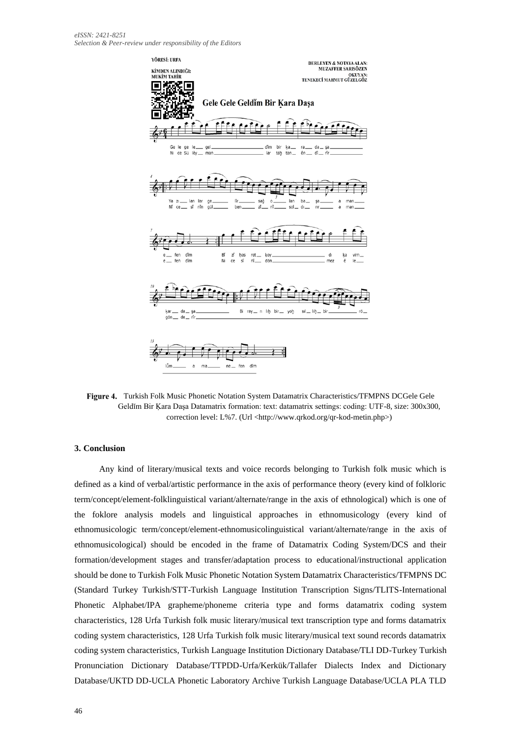

Figure 4. Turkish Folk Music Phonetic Notation System Datamatrix Characteristics/TFMPNS DCGele Gele Geldĭm Bir Ḳara Daşa Datamatrix formation: text: datamatrix settings: coding: UTF-8, size: 300x300, correction level: L%7. (Url <http://www.qrkod.org/qr-kod-metin.php>)

### **3. Conclusion**

Any kind of literary/musical texts and voice records belonging to Turkish folk music which is defined as a kind of verbal/artistic performance in the axis of performance theory (every kind of folkloric term/concept/element-folklinguistical variant/alternate/range in the axis of ethnological) which is one of the foklore analysis models and linguistical approaches in ethnomusicology (every kind of ethnomusicologic term/concept/element-ethnomusicolinguistical variant/alternate/range in the axis of ethnomusicological) should be encoded in the frame of Datamatrix Coding System/DCS and their formation/development stages and transfer/adaptation process to educational/instructional application should be done to Turkish Folk Music Phonetic Notation System Datamatrix Characteristics/TFMPNS DC (Standard Turkey Turkish/STT-Turkish Language Institution Transcription Signs/TLITS-International Phonetic Alphabet/IPA grapheme/phoneme criteria type and forms datamatrix coding system characteristics, 128 Urfa Turkish folk music literary/musical text transcription type and forms datamatrix coding system characteristics, 128 Urfa Turkish folk music literary/musical text sound records datamatrix coding system characteristics, Turkish Language Institution Dictionary Database/TLI DD-Turkey Turkish Pronunciation Dictionary Database/TTPDD-Urfa/Kerkük/Tallafer Dialects Index and Dictionary Database/UKTD DD-UCLA Phonetic Laboratory Archive Turkish Language Database/UCLA PLA TLD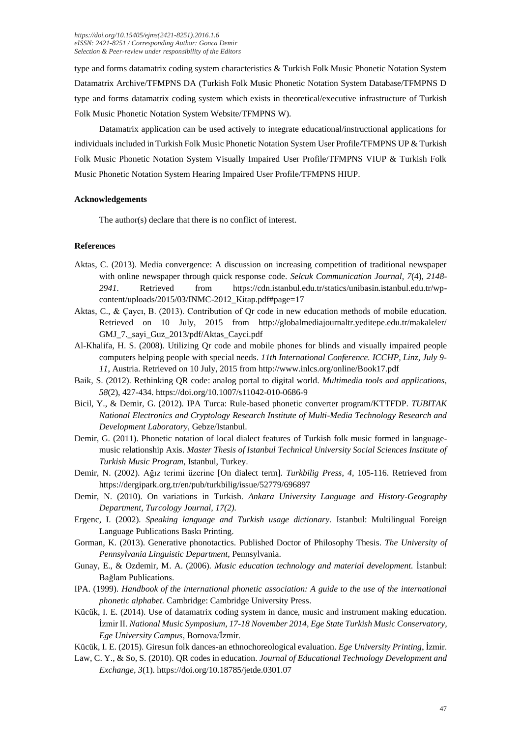type and forms datamatrix coding system characteristics & Turkish Folk Music Phonetic Notation System Datamatrix Archive/TFMPNS DA (Turkish Folk Music Phonetic Notation System Database/TFMPNS D type and forms datamatrix coding system which exists in theoretical/executive infrastructure of Turkish Folk Music Phonetic Notation System Website/TFMPNS W).

Datamatrix application can be used actively to integrate educational/instructional applications for individuals included in Turkish Folk Music Phonetic Notation System User Profile/TFMPNS UP & Turkish Folk Music Phonetic Notation System Visually Impaired User Profile/TFMPNS VIUP & Turkish Folk Music Phonetic Notation System Hearing Impaired User Profile/TFMPNS HIUP.

# **Acknowledgements**

The author(s) declare that there is no conflict of interest.

# **References**

- Aktas, C. (2013). Media convergence: A discussion on increasing competition of traditional newspaper with online newspaper through quick response code. *Selcuk Communication Journal, 7*(4), *2148- 2941*. Retrieved from https://cdn.istanbul.edu.tr/statics/unibasin.istanbul.edu.tr/wpcontent/uploads/2015/03/INMC-2012\_Kitap.pdf#page=17
- Aktas, C., & Çaycı, B. (2013). Contribution of Qr code in new education methods of mobile education. Retrieved on 10 July, 2015 from http://globalmediajournaltr.yeditepe.edu.tr/makaleler/ [GMJ\\_7.\\_sayi\\_Guz\\_](http://globalmediajournaltr.yeditepe.edu.tr/makaleler/%20GMJ_7._sayi_Guz)2013/pdf/Aktas\_Cayci.pdf
- Al-Khalifa, H. S. (2008). Utilizing Qr code and mobile phones for blinds and visually impaired people computers helping people with special needs. *11th International Conference. ICCHP, Linz, July 9- 11*, Austria. Retrieved on 10 July, 2015 from http://www.inlcs.org/online/Book17.pdf
- Baik, S. (2012). Rethinking QR code: analog portal to digital world. *Multimedia tools and applications, 58*(2), 427-434. https://doi.org/10.1007/s11042-010-0686-9
- Bicil, Y., & Demir, G. (2012). IPA Turca: Rule-based phonetic converter program/KTTFDP. *TUBITAK National Electronics and Cryptology Research Institute of Multi-Media Technology Research and Development Laboratory*, Gebze/Istanbul.
- Demir, G. (2011). Phonetic notation of local dialect features of Turkish folk music formed in languagemusic relationship Axis. *Master Thesis of Istanbul Technical University Social Sciences Institute of Turkish Music Program*, Istanbul, Turkey.
- Demir, N. (2002). Ağız terimi üzerine [On dialect term]. *Turkbilig Press*, *4,* 105-116. Retrieved from https://dergipark.org.tr/en/pub/turkbilig/issue/52779/696897
- Demir, N. (2010). On variations in Turkish. *Ankara University Language and History-Geography Department, Turcology Journal, 17(2).*
- Ergenc, I. (2002). *Speaking language and Turkish usage dictionary.* Istanbul: Multilingual Foreign Language Publications Baskı Printing.
- Gorman, K. (2013). Generative phonotactics. Published Doctor of Philosophy Thesis. *The University of Pennsylvania Linguistic Department*, Pennsylvania.
- Gunay, E., & Ozdemir, M. A. (2006). *Music education technology and material development.* İstanbul: Bağlam Publications.
- IPA. (1999). *Handbook of the international phonetic association: A guide to the use of the international phonetic alphabet.* Cambridge: Cambridge University Press.
- Kücük, I. E. (2014). Use of datamatrix coding system in dance, music and instrument making education. İzmir II. *National Music Symposium, 17-18 November 2014, Ege State Turkish Music Conservatory, Ege University Campus*, Bornova/İzmir.
- Kücük, I. E. (2015). Giresun folk dances-an ethnochoreological evaluation. *Ege University Printing*, İzmir.
- Law, C. Y., & So, S. (2010). QR codes in education. *Journal of Educational Technology Development and Exchange, 3*(1). https://doi.org/10.18785/jetde.0301.07